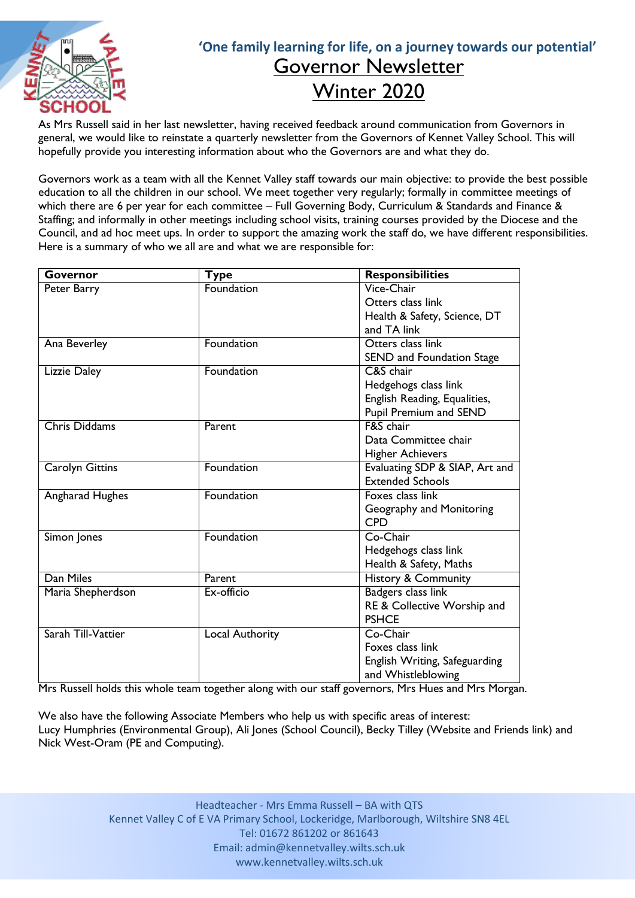

## **'One family learning for life, on a journey towards our potential'** Governor Newsletter Winter 2020

As Mrs Russell said in her last newsletter, having received feedback around communication from Governors in general, we would like to reinstate a quarterly newsletter from the Governors of Kennet Valley School. This will hopefully provide you interesting information about who the Governors are and what they do.

Governors work as a team with all the Kennet Valley staff towards our main objective: to provide the best possible education to all the children in our school. We meet together very regularly; formally in committee meetings of which there are 6 per year for each committee – Full Governing Body, Curriculum & Standards and Finance & Staffing; and informally in other meetings including school visits, training courses provided by the Diocese and the Council, and ad hoc meet ups. In order to support the amazing work the staff do, we have different responsibilities. Here is a summary of who we all are and what we are responsible for:

| Governor               | Type            | <b>Responsibilities</b>        |
|------------------------|-----------------|--------------------------------|
| Peter Barry            | Foundation      | Vice-Chair                     |
|                        |                 | Otters class link              |
|                        |                 | Health & Safety, Science, DT   |
|                        |                 | and TA link                    |
| Ana Beverley           | Foundation      | Otters class link              |
|                        |                 | SEND and Foundation Stage      |
| Lizzie Daley           | Foundation      | C&S chair                      |
|                        |                 | Hedgehogs class link           |
|                        |                 | English Reading, Equalities,   |
|                        |                 | Pupil Premium and SEND         |
| <b>Chris Diddams</b>   | Parent          | F&S chair                      |
|                        |                 | Data Committee chair           |
|                        |                 | <b>Higher Achievers</b>        |
| <b>Carolyn Gittins</b> | Foundation      | Evaluating SDP & SIAP, Art and |
|                        |                 | <b>Extended Schools</b>        |
| Angharad Hughes        | Foundation      | Foxes class link               |
|                        |                 | Geography and Monitoring       |
|                        |                 | <b>CPD</b>                     |
| Simon Jones            | Foundation      | Co-Chair                       |
|                        |                 | Hedgehogs class link           |
|                        |                 | Health & Safety, Maths         |
| Dan Miles              | Parent          | History & Community            |
| Maria Shepherdson      | Ex-officio      | Badgers class link             |
|                        |                 | RE & Collective Worship and    |
|                        |                 | <b>PSHCE</b>                   |
| Sarah Till-Vattier     | Local Authority | Co-Chair                       |
|                        |                 | Foxes class link               |
|                        |                 | English Writing, Safeguarding  |
|                        |                 | and Whistleblowing             |

Mrs Russell holds this whole team together along with our staff governors, Mrs Hues and Mrs Morgan.

We also have the following Associate Members who help us with specific areas of interest: Lucy Humphries (Environmental Group), Ali Jones (School Council), Becky Tilley (Website and Friends link) and Nick West-Oram (PE and Computing).

> Headteacher - Mrs Emma Russell – BA with QTS Kennet Valley C of E VA Primary School, Lockeridge, Marlborough, Wiltshire SN8 4EL Tel: 01672 861202 or 861643 Email: admin@kennetvalley.wilts.sch.uk www.kennetvalley.wilts.sch.uk